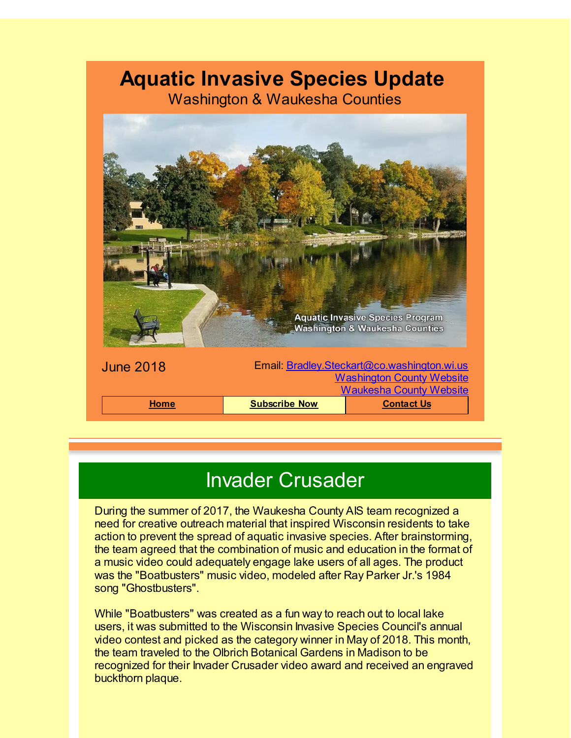### **Aquatic Invasive Species Update**

Washington & Waukesha Counties



### Invader Crusader

During the summer of 2017, the Waukesha County AIS team recognized a need for creative outreach material that inspired Wisconsin residents to take action to prevent the spread of aquatic invasive species. After brainstorming, the team agreed that the combination of music and education in the format of a music video could adequately engage lake users of all ages. The product was the "Boatbusters" music video, modeled after Ray Parker Jr.'s 1984 song "Ghostbusters".

While "Boatbusters" was created as a fun way to reach out to local lake users, it was submitted to the Wisconsin Invasive Species Council's annual video contest and picked as the category winner in May of 2018. This month, the team traveled to the Olbrich Botanical Gardens in Madison to be recognized for their Invader Crusader video award and received an engraved buckthorn plaque.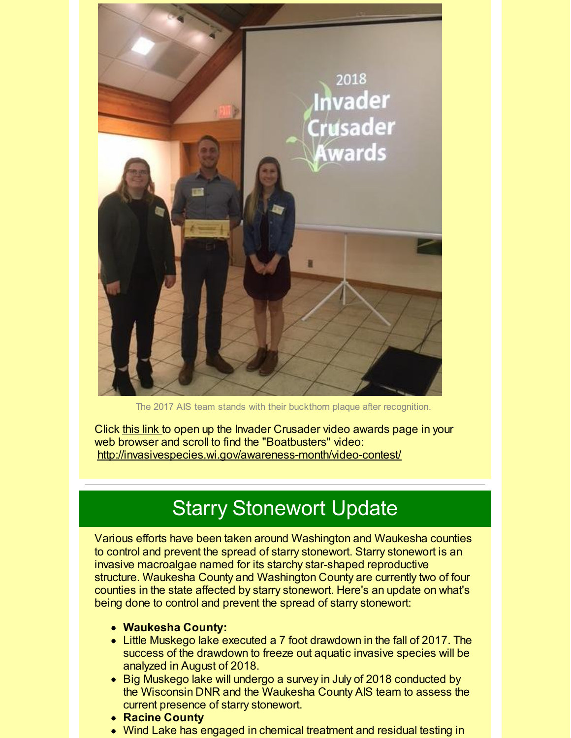

The 2017 AIS team stands with their buckthorn plaque after recognition.

Click [this](http://r20.rs6.net/tn.jsp?f=0013L1W45BJJ6r9jIgkFZEH4FXTxUTAdjrq2h08Bg7iWMM8G8lOAwa9ebZqzhaPfO9bmvgIvHh8tuc2mJ0E4z3GteuRti8bU1MLvdbnDlYP7UZKaMxP2ImKn1g0k72QkIaj7QUlPQ_1NQ5lC8eLmpdnMXfYks4BtjOkvcKWG-3vZbZ6YCT9L2BDylFD_hBDGnHimP38X906wsi00gm1gMN6Cjx7knWw_Y6rgT5R_yTKOKAoit_wKCwWf0dYjy8dGvQxZ4mpVKvzey2IVkFMUah9MrDhexwCbuYWiyrgXid4or6ghQ2QlgZ3REh35wA5rV3vRfZLEQFularLp8RlDEu7xqI3Oz8SvfVsN5PuCUa-hu1_ay2-f_kgJ5iF4P6zE0PGw3Y8drwsSJY=&c=&ch=) link to open up the Invader Crusader video awards page in your web browser and scroll to find the "Boatbusters" video: [http://invasivespecies.wi.gov/awareness-month/video-contest/](http://r20.rs6.net/tn.jsp?f=0013L1W45BJJ6r9jIgkFZEH4FXTxUTAdjrq2h08Bg7iWMM8G8lOAwa9ebZqzhaPfO9bmvgIvHh8tuc2mJ0E4z3GteuRti8bU1MLvdbnDlYP7UZKaMxP2ImKn1g0k72QkIaj7QUlPQ_1NQ5lC8eLmpdnMXfYks4BtjOkvcKWG-3vZbZ6YCT9L2BDylFD_hBDGnHimP38X906wsi00gm1gMN6Cjx7knWw_Y6rgT5R_yTKOKAoit_wKCwWf0dYjy8dGvQxZ4mpVKvzey2IVkFMUah9MrDhexwCbuYWiyrgXid4or6ghQ2QlgZ3REh35wA5rV3vRfZLEQFularLp8RlDEu7xqI3Oz8SvfVsN5PuCUa-hu1_ay2-f_kgJ5iF4P6zE0PGw3Y8drwsSJY=&c=&ch=)

### Starry Stonewort Update

Various efforts have been taken around Washington and Waukesha counties to control and prevent the spread of starry stonewort. Starry stonewort is an invasive macroalgae named for its starchy star-shaped reproductive structure. Waukesha County and Washington County are currently two of four counties in the state affected by starry stonewort. Here's an update on what's being done to control and prevent the spread of starry stonewort:

- **Waukesha County:**
- Little Muskego lake executed a 7 foot drawdown in the fall of 2017. The success of the drawdown to freeze out aquatic invasive species will be analyzed in August of 2018.
- Big Muskego lake will undergo a survey in July of 2018 conducted by the Wisconsin DNR and the Waukesha County AIS team to assess the current presence of starry stonewort.
- **Racine County**
- Wind Lake has engaged in chemical treatment and residual testing in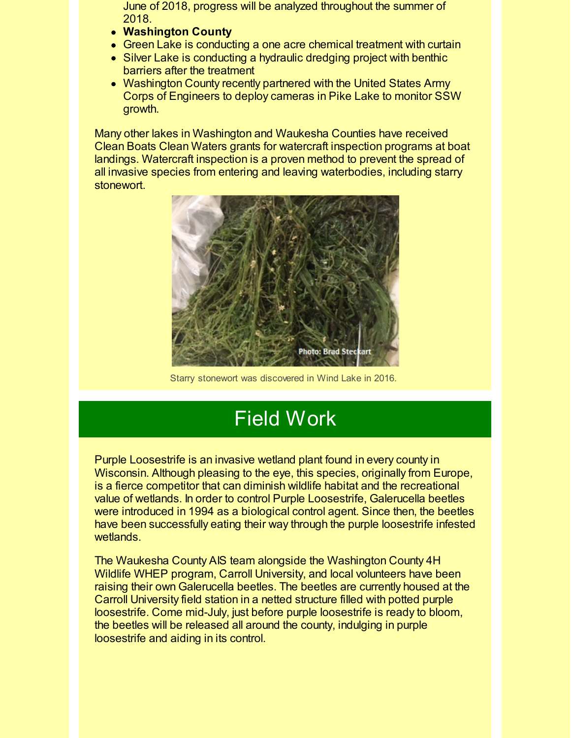June of 2018, progress will be analyzed throughout the summer of 2018.

- **Washington County**
- Green Lake is conducting a one acre chemical treatment with curtain
- Silver Lake is conducting a hydraulic dredging project with benthic barriers after the treatment
- Washington County recently partnered with the United States Army Corps of Engineers to deploy cameras in Pike Lake to monitor SSW growth.

Many other lakes in Washington and Waukesha Counties have received Clean Boats Clean Waters grants for watercraft inspection programs at boat landings. Watercraft inspection is a proven method to prevent the spread of all invasive species from entering and leaving waterbodies, including starry stonewort.



Starry stonewort was discovered in Wind Lake in 2016.

## Field Work

Purple Loosestrife is an invasive wetland plant found in every county in Wisconsin. Although pleasing to the eye, this species, originally from Europe, is a fierce competitor that can diminish wildlife habitat and the recreational value of wetlands. In order to control Purple Loosestrife, Galerucella beetles were introduced in 1994 as a biological control agent. Since then, the beetles have been successfully eating their way through the purple loosestrife infested wetlands.

The Waukesha County AIS team alongside the Washington County 4H Wildlife WHEP program, Carroll University, and local volunteers have been raising their own Galerucella beetles. The beetles are currently housed at the Carroll University field station in a netted structure filled with potted purple loosestrife. Come mid-July, just before purple loosestrife is ready to bloom, the beetles will be released all around the county, indulging in purple loosestrife and aiding in its control.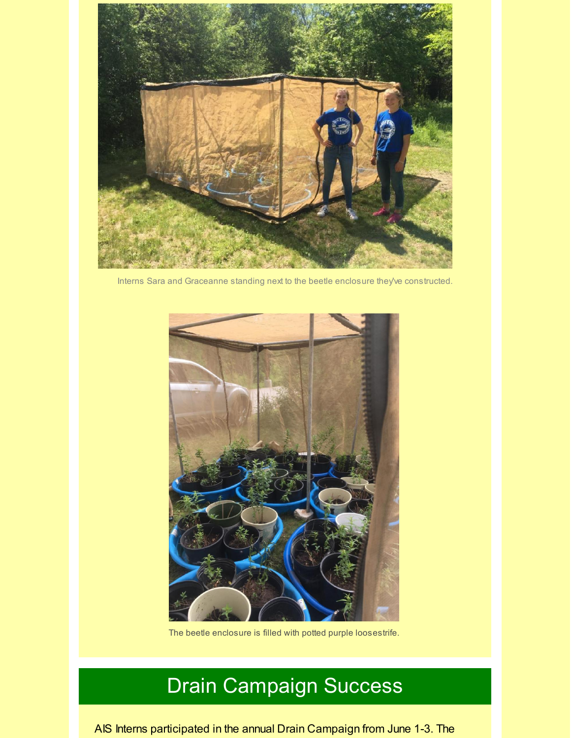

Interns Sara and Graceanne standing next to the beetle enclosure they've constructed.



The beetle enclosure is filled with potted purple loosestrife.

# Drain Campaign Success

AIS Interns participated in the annual Drain Campaign from June 1-3. The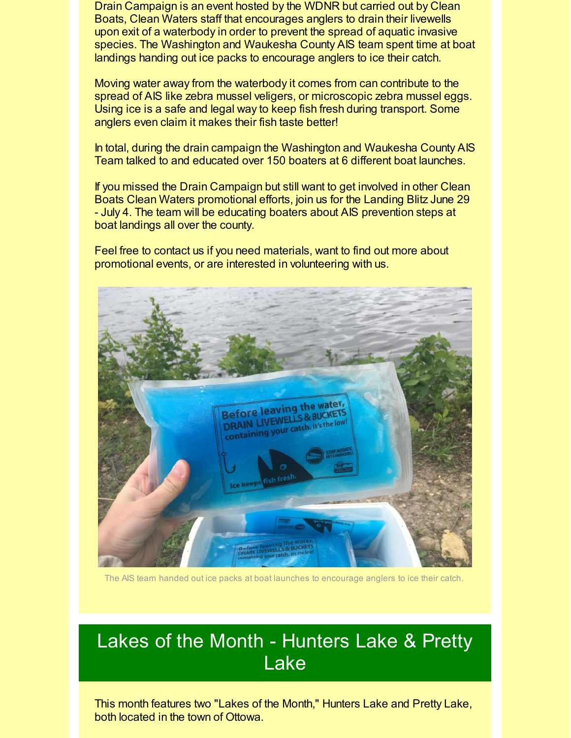Drain Campaign is an event hosted by the WDNR but carried out by Clean Boats, Clean Waters staff that encourages anglers to drain their livewells upon exit of a waterbody in order to prevent the spread of aquatic invasive species. The Washington and Waukesha County AIS team spent time at boat landings handing out ice packs to encourage anglers to ice their catch.

Moving water away from the waterbody it comes from can contribute to the spread of AIS like zebra mussel veligers, or microscopic zebra mussel eggs. Using ice is a safe and legal way to keep fish fresh during transport. Some anglers even claim it makes their fish taste better!

In total, during the drain campaign the Washington and Waukesha County AIS Team talked to and educated over 150 boaters at 6 different boat launches.

If you missed the Drain Campaign but still want to get involved in other Clean Boats Clean Waters promotional efforts, join us for the Landing Blitz June 29 - July 4. The team will be educating boaters about AIS prevention steps at boat landings all over the county.

Feel free to contact us if you need materials, want to find out more about promotional events, or are interested in volunteering with us.



The AIS team handed out ice packs at boat launches to encourage anglers to ice their catch.

#### Lakes of the Month - Hunters Lake & Pretty Lake

This month features two "Lakes of the Month," Hunters Lake and Pretty Lake, both located in the town of Ottowa.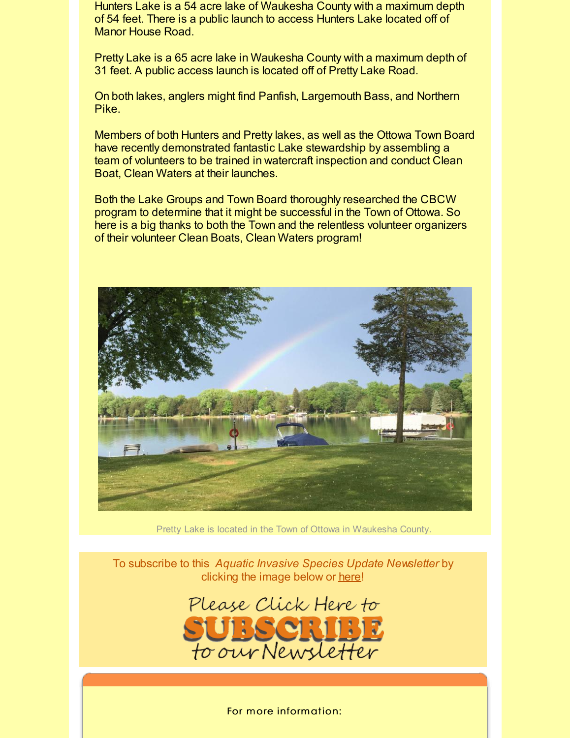Hunters Lake is a 54 acre lake of Waukesha County with a maximum depth of 54 feet. There is a public launch to access Hunters Lake located off of Manor House Road.

Pretty Lake is a 65 acre lake in Waukesha County with a maximum depth of 31 feet. A public access launch is located off of Pretty Lake Road.

On both lakes, anglers might find Panfish, Largemouth Bass, and Northern Pike.

Members of both Hunters and Pretty lakes, as well as the Ottowa Town Board have recently demonstrated fantastic Lake stewardship by assembling a team of volunteers to be trained in watercraft inspection and conduct Clean Boat, Clean Waters at their launches.

Both the Lake Groups and Town Board thoroughly researched the CBCW program to determine that it might be successful in the Town of Ottowa. So here is a big thanks to both the Town and the relentless volunteer organizers of their volunteer Clean Boats, Clean Waters program!



Pretty Lake is located in the Town of Ottowa in Waukesha County.

To subscribe to this *Aquatic Invasive Species Update Newsletter* by clicking the image below or [here](http://visitor.r20.constantcontact.com/d.jsp?llr=kfohqmcab&p=oi&m=1102078785706&sit=mdwsaogdb&f=72c567dd-ea1f-46d9-a3b3-0487646a78a3)!



For more information: